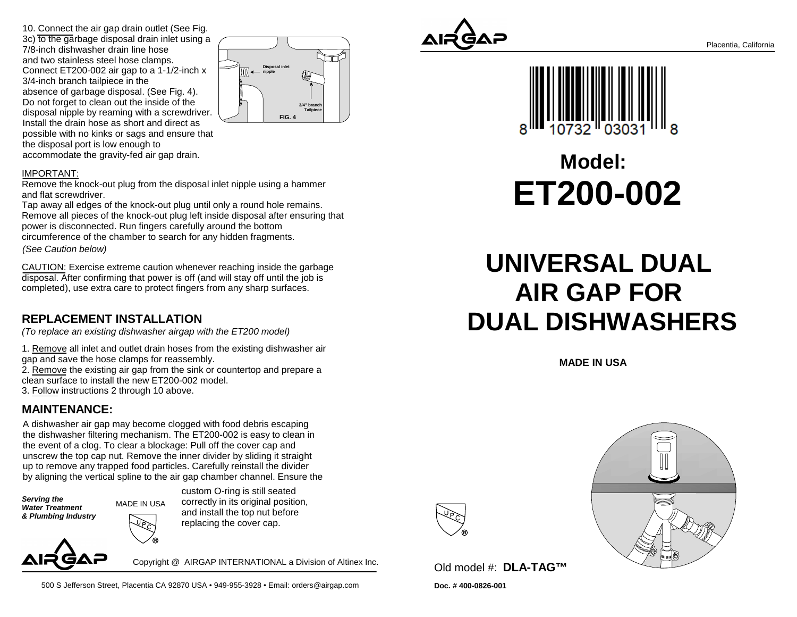10. Connect the air gap drain outlet (See Fig.3c) to the garbage disposal drain inlet using a 7/8-inch dishwasher drain line hose and two stainless steel hose clamps. Connect ET200-002 air gap to a 1-1/2-inch x3/4-inch branch tailpiece in the absence of garbage disposal. (See Fig. 4). Do not forget to clean out the inside of the disposal nipple by reaming with a screwdriver. Install the drain hose as short and direct as possible with no kinks or sags and ensure thatthe disposal port is low enough toaccommodate the gravity-fed air gap drain.



#### IMPORTANT:

 Remove the knock-out plug from the disposal inlet nipple using a hammerand flat screwdriver.

 Tap away all edges of the knock-out plug until only a round hole remains. Remove all pieces of the knock-out plug left inside disposal after ensuring thatpower is disconnected. Run fingers carefully around the bottom circumference of the chamber to search for any hidden fragments. (See Caution below)

CAUTION: Exercise extreme caution whenever reaching inside the garbagedisposal. After confirming that power is off (and will stay off until the job iscompleted), use extra care to protect fingers from any sharp surfaces.

### **REPLACEMENT INSTALLATION**

(To replace an existing dishwasher airgap with the ET200 model)

1. Remove all inlet and outlet drain hoses from the existing dishwasher airgap and save the hose clamps for reassembly.

2. Remove the existing air gap from the sink or countertop and prepare a clean surface to install the new ET200-002 model.

3. Follow instructions 2 through 10 above.

### **MAINTENANCE:**

A dishwasher air gap may become clogged with food debris escaping the dishwasher filtering mechanism. The ET200-002 is easy to clean inthe event of a clog. To clear a blockage: Pull off the cover cap and unscrew the top cap nut. Remove the inner divider by sliding it straight up to remove any trapped food particles. Carefully reinstall the dividerby aligning the vertical spline to the air gap chamber channel. Ensure the

**Serving the Water Treatment& Plumbing Industry** MADE IN USAcustom O-ring is still seated correctly in its original position,and install the top nut beforereplacing the cover cap.

Copyright @ AIRGAP INTERNATIONAL a Division of Altinex Inc.

500 S Jefferson Street, Placentia CA 92870 USA • 949-955-3928 • Email: orders@airgap.com





# **Model:ET200-002**

## **UNIVERSAL DUAL AIR GAP FOR DUAL DISHWASHERS**

**MADE IN USA**



**Doc. # 400-0826-001**Old model #: **DLA-TAG™**